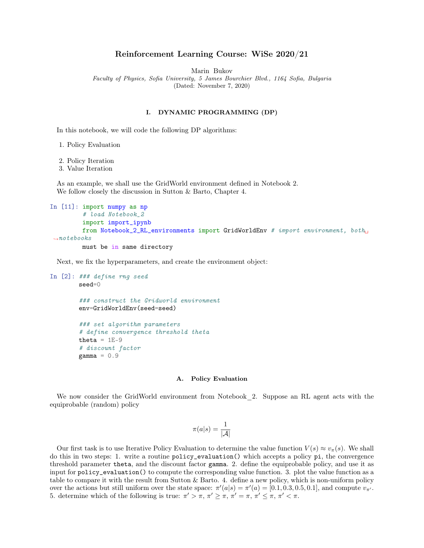# Reinforcement Learning Course: WiSe 2020/21

Marin Bukov

Faculty of Physics, Sofia University, 5 James Bourchier Blvd., 1164 Sofia, Bulgaria

(Dated: November 7, 2020)

## I. DYNAMIC PROGRAMMING (DP)

In this notebook, we will code the following DP algorithms:

1. Policy Evaluation

2. Policy Iteration

3. Value Iteration

As an example, we shall use the GridWorld environment defined in Notebook 2. We follow closely the discussion in Sutton & Barto, Chapter 4.

```
In [11]: import numpy as np
         # load Notebook_2
         import import_ipynb
         from Notebook_2_RL_environments import GridWorldEnv # import environment, both
 \rightarrownotebooks
         must be in same directory
```
Next, we fix the hyperparameters, and create the environment object:

```
In [2]: ### define rng seed
        seed=0
        ### construct the Gridworld environment
        env=GridWorldEnv(seed=seed)
        ### set algorithm parameters
        # define convergence threshold theta
        theta = 1E-9# discount factor
        gamma = 0.9
```
### A. Policy Evaluation

We now consider the GridWorld environment from Notebook 2. Suppose an RL agent acts with the equiprobable (random) policy

$$
\pi(a|s) = \frac{1}{|\mathcal{A}|}
$$

Our first task is to use Iterative Policy Evaluation to determine the value function  $V(s) \approx v_\pi(s)$ . We shall do this in two steps: 1. write a routine policy\_evaluation() which accepts a policy pi, the convergence threshold parameter theta, and the discount factor gamma. 2. define the equiprobable policy, and use it as input for policy\_evaluation() to compute the corresponding value function. 3. plot the value function as a table to compare it with the result from Sutton & Barto. 4. define a new policy, which is non-uniform policy over the actions but still uniform over the state space:  $\pi'(a|s) = \pi'(a) = [0.1, 0.3, 0.5, 0.1]$ , and compute  $v_{\pi'}$ . 5. determine which of the following is true:  $\pi' > \pi$ ,  $\pi' \geq \pi$ ,  $\pi' = \pi$ ,  $\pi' \leq \pi$ ,  $\pi' < \pi$ .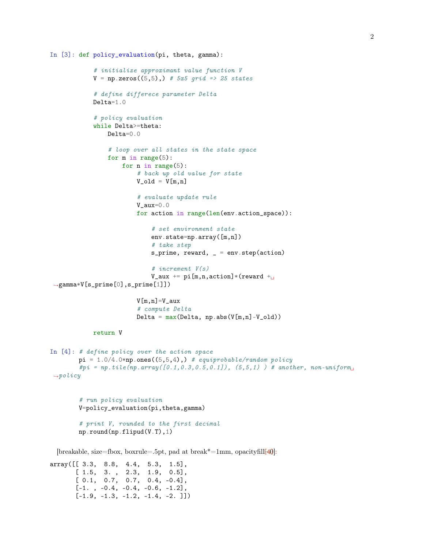```
In [3]: def policy_evaluation(pi, theta, gamma):
```

```
# initialize approximant value function V
            V = np{\text{ zeros}}((5,5),) # 5x5 grid => 25 states
            # define differece parameter Delta
            Delta=1.0
            # policy evaluation
            while Delta>=theta:
                Delta=0.0
                # loop over all states in the state space
                for m in range(5):
                    for n in range(5):
                         # back up old value for state
                         V_old = V[m,n]# evaluate update rule
                         V_aux=0.0
                         for action in range(len(env.action_space)):
                             # set environment state
                             env.state=np.array([m,n])
                             # take step
                             s_prime, reward, = env. step(action)
                             # increment V(s)
                             V_aux += pi[m,n,action]*(reward +\rightarrowgamma*V[s_prime[0],s_prime[1]])
                         V[m,n]=V_aux
                         # compute Delta
                         Delta = max(Delta, np.abs(V[m,n]-V_old))return V
In [4]: # define policy over the action space
        pi = 1.0/4.0*np.ones((5,5,4),) # equiprobable/random policy
        \#pi = np.title(np.array([0.1, 0.3, 0.5, 0.1]), (5, 5, 1) ) # another, non-uniform
\rightarrowpolicy
        # run policy evaluation
        V=policy_evaluation(pi,theta,gamma)
```

```
# print V, rounded to the first decimal
np.round(np.flipud(V.T),1)
```
[breakable, size=fbox, boxrule=.5pt, pad at break\*=1mm, opacityfill $[40]$ :

array([[ 3.3, 8.8, 4.4, 5.3, 1.5], [ 1.5, 3. , 2.3, 1.9, 0.5],  $[0.1, 0.7, 0.7, 0.4, -0.4],$  $[-1. , -0.4, -0.4, -0.6, -1.2],$  $[-1.9, -1.3, -1.2, -1.4, -2. ]]$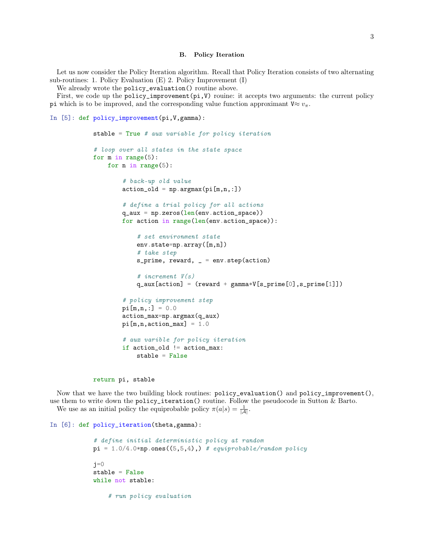#### B. Policy Iteration

Let us now consider the Policy Iteration algorithm. Recall that Policy Iteration consists of two alternating sub-routines: 1. Policy Evaluation (E) 2. Policy Improvement (I)

We already wrote the policy\_evaluation() routine above.

First, we code up the policy\_improvement $(p_i, V)$  rouine: it accepts two arguments: the current policy pi which is to be improved, and the corresponding value function approximant  $V \approx v_\pi$ .

```
In [5]: def policy_improvement(pi,V,gamma):
```

```
stable = True # aux variable for policy iteration
# loop over all states in the state space
for m in range(5):
    for n in range(5):
        # back-up old value
        action\_old = np.argv(x[i[m,n,:])# define a trial policy for all actions
        q_aux = np.zeros(len(env.action_space))for action in range(len(env.action_space)):
            # set environment state
            env.state=np.array([m,n])
            # take step
            s_prime, reward, = = env. step(action)
            # increment V(s)
            q_aux[action] = (reward + gamma*V[s_prime[0], s_prime[1]))# policy improvement step
        pi[m,n,:] = 0.0action_max=np.argmax(q_aux)
        pi[m,n,action_max] = 1.0# aux varible for policy iteration
        if action_old != action_max:
            stable = False
```
return pi, stable

Now that we have the two building block routines: policy\_evaluation() and policy\_improvement(), use them to write down the policy\_iteration() routine. Follow the pseudocode in Sutton & Barto. We use as an initial policy the equiprobable policy  $\pi(a|s) = \frac{1}{|A|}$ .

```
In [6]: def policy_iteration(theta,gamma):
```

```
# define initial deterministic policy at random
pi = 1.0/4.0*np.ones((5,5,4),) # equiprobable/random policy
j=0stable = False
while not stable:
    # run policy evaluation
```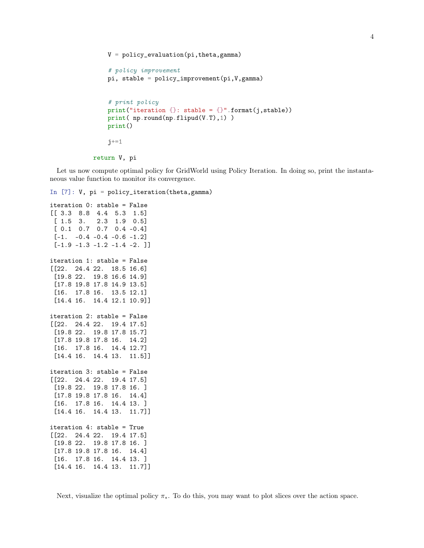```
V = policy_{evaluation(pi, theta, gamma)# policy improvement
pi, stable = policy_improvement(pi,V,gamma)
# print policy
print("iteration {}: stable = {}".format(j,stable))
print( np.round(np.flipud(V.T),1) )
print()
j+=1
```

```
return V, pi
```
Let us now compute optimal policy for GridWorld using Policy Iteration. In doing so, print the instantaneous value function to monitor its convergence.

In [7]: V, pi = policy\_iteration(theta,gamma)

```
iteration 0: stable = False
[[ 3.3 8.8 4.4 5.3 1.5]
[ 1.5 3. 2.3 1.9 0.5]
[ 0.1 0.7 0.7 0.4 -0.4]
 [-1. -0.4 -0.4 -0.6 -1.2][-1.9 -1.3 -1.2 -1.4 -2.]iteration 1: stable = False
[[22. 24.4 22. 18.5 16.6]
 [19.8 22. 19.8 16.6 14.9]
 [17.8 19.8 17.8 14.9 13.5]
 [16. 17.8 16. 13.5 12.1]
 [14.4 16. 14.4 12.1 10.9]]
iteration 2: stable = False
[[22. 24.4 22. 19.4 17.5]
 [19.8 22. 19.8 17.8 15.7]
 [17.8 19.8 17.8 16. 14.2]
 [16. 17.8 16. 14.4 12.7]
 [14.4 16. 14.4 13. 11.5]]
iteration 3: stable = False
[[22. 24.4 22. 19.4 17.5]
 [19.8 22. 19.8 17.8 16. ]
[17.8 19.8 17.8 16. 14.4]
 [16. 17.8 16. 14.4 13. ]
[14.4 16. 14.4 13. 11.7]]
iteration 4: stable = True
[[22. 24.4 22. 19.4 17.5]
[19.8 22. 19.8 17.8 16. ]
 [17.8 19.8 17.8 16. 14.4]
 [16. 17.8 16. 14.4 13. ]
 [14.4 16. 14.4 13. 11.7]]
```
4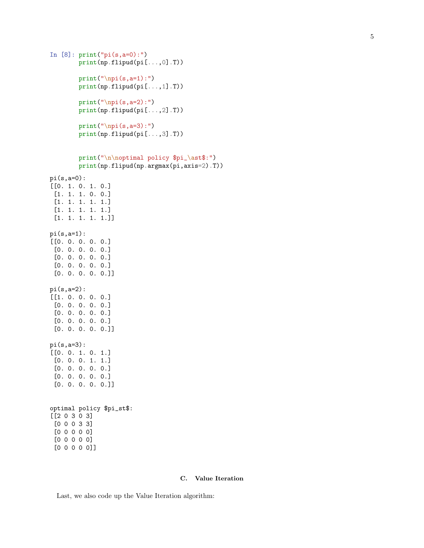```
In [8]: print("pi(s,a=0):")
        print(np.flipud(pi[...,0].T))
        print("\npi(s,a=1):")print(np.flipud(pi[...,1].T))
        print("\n); (s, a=2):")
        print(np.flipud(pi[...,2].T))
        print("\npi(s,a=3) :")print(np.flipud(pi[...,3].T))
        print("\n\noptimal policy $pi_\ast$:")
        print(np.flipud(np.argmax(pi,axis=2).T))
pi(s,a=0):
[[0. 1. 0. 1. 0.]
 [1. 1. 1. 0. 0.]
 [1. 1. 1. 1. 1.]
 [1. 1. 1. 1. 1.]
 [1. 1. 1. 1. 1.]]
pi(s,a=1):
[[0. 0. 0. 0. 0.]
 [0. 0. 0. 0. 0.]
 [0. 0. 0. 0. 0.]
 [0. 0. 0. 0. 0.]
 [0. 0. 0. 0. 0.]]
pi(s,a=2):
[[1. 0. 0. 0. 0.]
 [0. 0. 0. 0. 0.]
 [0. 0. 0. 0. 0.]
 [0. 0. 0. 0. 0.]
 [0. 0. 0. 0. 0.]]
pi(s,a=3):
[[0. 0. 1. 0. 1.]
 [0. 0. 0. 1. 1.]
 [0. 0. 0. 0. 0.]
 [0. 0. 0. 0. 0.]
 [0. 0. 0. 0. 0.]]
optimal policy $pi_st$:
```

```
[[2 0 3 0 3]
[0 0 0 3 3]
 [0 0 0 0 0]
 [0 0 0 0 0]
 [0 0 0 0 0]]
```
#### C. Value Iteration

Last, we also code up the Value Iteration algorithm: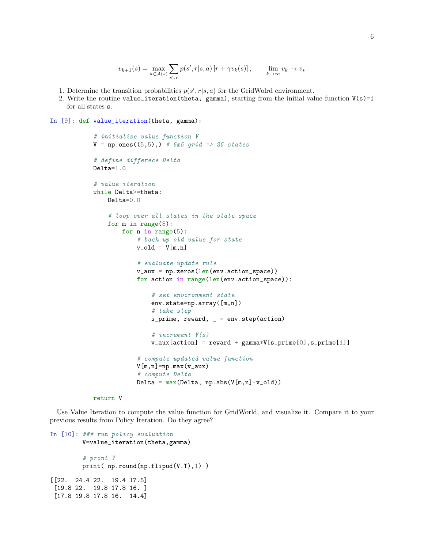```
v_{k+1}(s) = \max_{a \in \mathcal{A}(s)}\sums', rp(s', r|s, a) [r + \gamma v_k(s)], \lim_{k \to \infty} v_k \to v_*
```
- 1. Determine the transition probabilities  $p(s', r|s, a)$  for the GridWolrd environment.
- 2. Write the routine value\_iteration(theta, gamma), starting from the initial value function  $V(s)=1$ for all states s.

```
In [9]: def value_iteration(theta, gamma):
```

```
# initialize value function V
V = np.ones((5,5),) # 5x5 grid => 25 states
# define differece Delta
Delta=1.0
# value iteration
while Delta>=theta:
    Delta=0.0
    # loop over all states in the state space
    for m in range(5):
        for n in range(5):
            # back up old value for state
            v\_old = V[m,n]# evaluate update rule
            v_aux = np.zeros(len(env.action_space))for action in range(len(env.action_space)):
                # set environment state
                env.state=np.array([m,n])
                # take step
                s_prime, reward, = env. step(action)
                # increment V(s)
                v_aux[action] = reward + gamma*V[s_prime[0], s_prime[1]]# compute updated value function
            V[m,n]=np.max(v_aux)# compute Delta
            Delta = max(Delta, np.abs(V[m,n]-v_old))
```

```
return V
```
Use Value Iteration to compute the value function for GridWorld, and visualize it. Compare it to your previous results from Policy Iteration. Do they agree?

```
In [10]: ### run policy evaluation
        V=value_iteration(theta,gamma)
         # print V
        print( np.round(np.flipud(V.T),1) )
[[22. 24.4 22. 19.4 17.5]
 [19.8 22. 19.8 17.8 16. ]
 [17.8 19.8 17.8 16. 14.4]
```